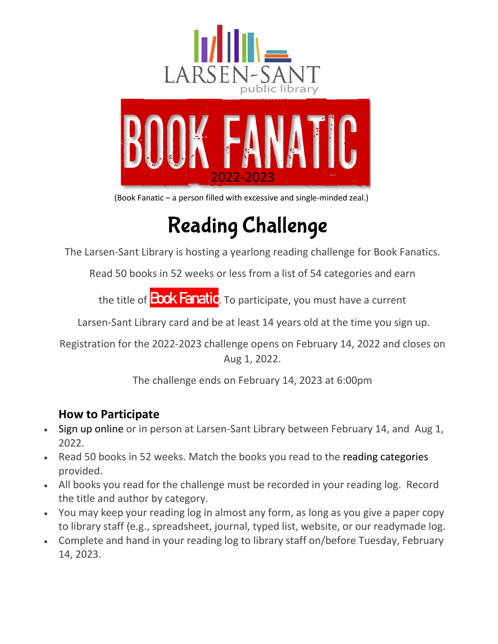



(Book Fanatic – a person filled with excessive and single-minded zeal.)

# Reading Challenge

The Larsen-Sant Library is hosting a yearlong reading challenge for Book Fanatics.

Read 50 books in 52 weeks or less from a list of 54 categories and earn

the title of **Book Fanatic**. To participate, you must have a current

Larsen-Sant Library card and be at least 14 years old at the time you sign up.

Registration for the 2022-2023 challenge opens on February 14, 2022 and closes on Aug 1, 2022.

The challenge ends on February 14, 2023 at 6:00pm

### **How to Participate**

- Sign up online or in person at Larsen-Sant Library between February 14, and Aug 1, 2022.
- Read 50 books in 52 weeks. Match the books you read to the reading categories provided.
- All books you read for the challenge must be recorded in your reading log. Record the title and author by category.
- You may keep your reading log in almost any form, as long as you give a paper copy to library staff (e.g., spreadsheet, journal, typed list, website, or our readymade log.
- Complete and hand in your reading log to library staff on/before Tuesday, February 14, 2023.